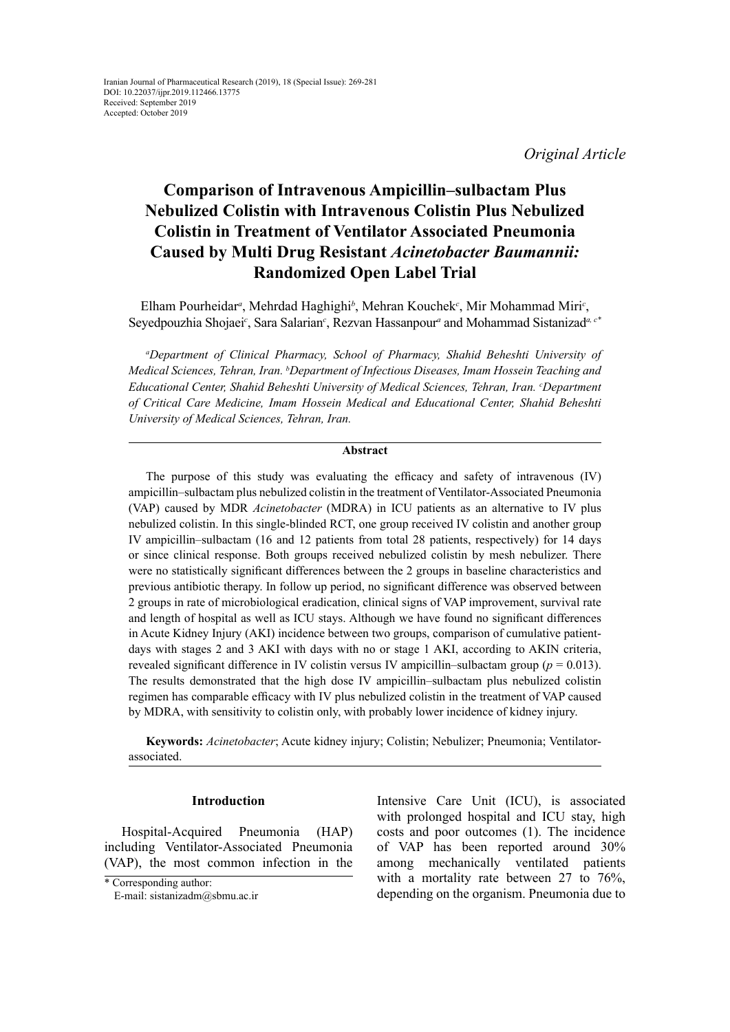*Original Article*

# **Comparison of Intravenous Ampicillin–sulbactam Plus Nebulized Colistin with Intravenous Colistin Plus Nebulized Colistin in Treatment of Ventilator Associated Pneumonia Caused by Multi Drug Resistant** *Acinetobacter Baumannii:* **Randomized Open Label Trial**

Elham Pourheidar*<sup>a</sup>* , Mehrdad Haghighi*<sup>b</sup>* , Mehran Kouchek*<sup>c</sup>* , Mir Mohammad Miri*<sup>c</sup>* , Seyedpouzhia Shojaei<sup>c</sup>, Sara Salarian<sup>c</sup>, Rezvan Hassanpour<sup>a</sup> and Mohammad Sistanizad<sup>a, c\*</sup>

*a Department of Clinical Pharmacy, School of Pharmacy, Shahid Beheshti University of Medical Sciences, Tehran, Iran. b Department of Infectious Diseases, Imam Hossein Teaching and Educational Center, Shahid Beheshti University of Medical Sciences, Tehran, Iran. c Department of Critical Care Medicine, Imam Hossein Medical and Educational Center, Shahid Beheshti University of Medical Sciences, Tehran, Iran.*

#### **Abstract**

The purpose of this study was evaluating the efficacy and safety of intravenous (IV) ampicillin–sulbactam plus nebulized colistin in the treatment of Ventilator-Associated Pneumonia (VAP) caused by MDR *Acinetobacter* (MDRA) in ICU patients as an alternative to IV plus nebulized colistin. In this single-blinded RCT, one group received IV colistin and another group IV ampicillin–sulbactam (16 and 12 patients from total 28 patients, respectively) for 14 days or since clinical response. Both groups received nebulized colistin by mesh nebulizer. There were no statistically significant differences between the 2 groups in baseline characteristics and previous antibiotic therapy. In follow up period, no significant difference was observed between 2 groups in rate of microbiological eradication, clinical signs of VAP improvement, survival rate and length of hospital as well as ICU stays. Although we have found no significant differences in Acute Kidney Injury (AKI) incidence between two groups, comparison of cumulative patientdays with stages 2 and 3 AKI with days with no or stage 1 AKI, according to AKIN criteria, revealed significant difference in IV colistin versus IV ampicillin–sulbactam group ( $p = 0.013$ ). The results demonstrated that the high dose IV ampicillin–sulbactam plus nebulized colistin regimen has comparable efficacy with IV plus nebulized colistin in the treatment of VAP caused by MDRA, with sensitivity to colistin only, with probably lower incidence of kidney injury.

**Keywords:** *Acinetobacter*; Acute kidney injury; Colistin; Nebulizer; Pneumonia; Ventilatorassociated.

#### **Introduction**

Hospital-Acquired Pneumonia (HAP) including Ventilator-Associated Pneumonia (VAP), the most common infection in the Intensive Care Unit (ICU), is associated with prolonged hospital and ICU stay, high costs and poor outcomes (1). The incidence of VAP has been reported around 30% among mechanically ventilated patients with a mortality rate between 27 to 76%, depending on the organism. Pneumonia due to

<sup>\*</sup> Corresponding author:

E-mail: sistanizadm@sbmu.ac.ir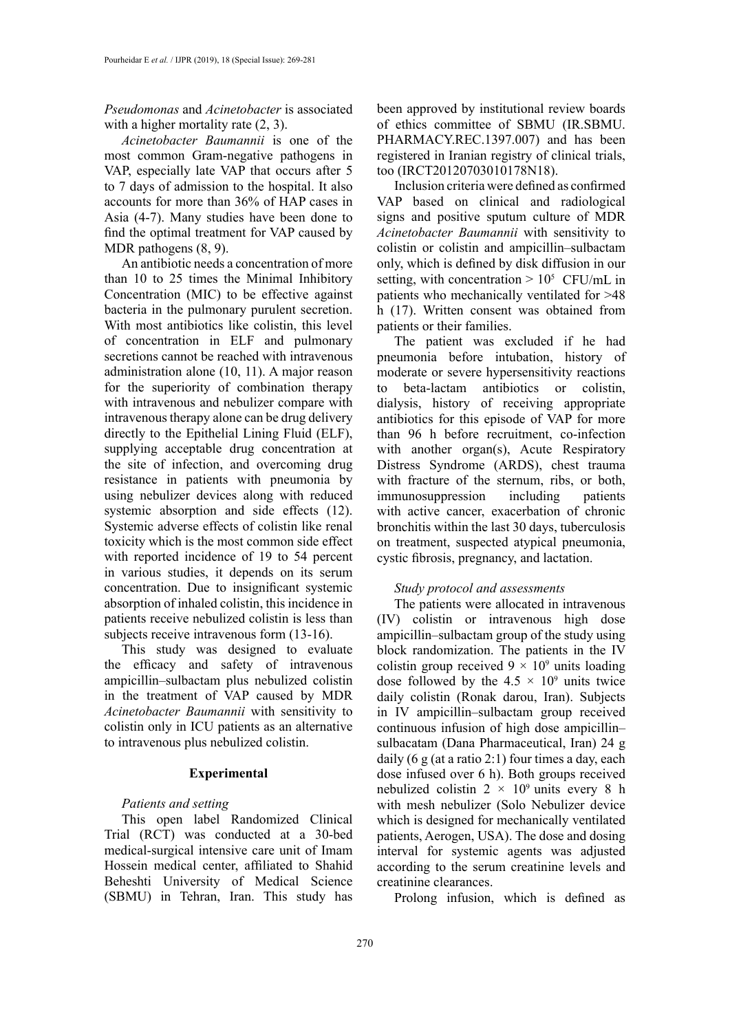# *[Pseudomonas](https://www.sciencedirect.com/topics/medicine-and-dentistry/pseudomonas)* and *[Acinetobacter](https://www.sciencedirect.com/topics/medicine-and-dentistry/acinetobacter)* is associated with a higher mortality rate  $(2, 3)$ .

*Acinetobacter Baumannii* is one of the most common Gram-negative pathogens in VAP, especially late VAP that occurs after 5 to 7 days of admission to the hospital. It also accounts for more than 36% of HAP cases in Asia (4-7). Many studies have been done to find the optimal treatment for VAP caused by MDR pathogens (8, 9).

An antibiotic needs a concentration of more than 10 to 25 times the Minimal Inhibitory Concentration (MIC) to be effective against bacteria in the pulmonary purulent secretion. With most antibiotics like colistin, this level of concentration in ELF and pulmonary secretions cannot be reached with intravenous administration alone (10, 11). A major reason for the superiority of combination therapy with intravenous and nebulizer compare with intravenous therapy alone can be drug delivery directly to the Epithelial Lining Fluid (ELF), supplying acceptable drug concentration at the site of infection, and overcoming drug resistance in patients with pneumonia by using nebulizer devices along with reduced systemic absorption and side effects  $(12)$ . Systemic adverse effects of colistin like renal toxicity which is the most common side effect with reported incidence of 19 to 54 percent in various studies, it depends on its serum concentration. Due to insignificant systemic absorption of inhaled colistin, this incidence in patients receive nebulized colistin is less than subjects receive intravenous form (13-16).

This study was designed to evaluate the efficacy and safety of intravenous ampicillin–sulbactam plus nebulized colistin in the treatment of VAP caused by MDR *Acinetobacter Baumannii* with sensitivity to colistin only in ICU patients as an alternative to intravenous plus nebulized colistin.

#### **Experimental**

#### *Patients and setting*

This open label Randomized Clinical Trial (RCT) was conducted at a 30-bed medical-surgical intensive care unit of Imam Hossein medical center, affiliated to Shahid Beheshti University of Medical Science (SBMU) in Tehran, Iran. This study has been approved by institutional review boards of ethics committee of SBMU (IR.SBMU. PHARMACY.REC.1397.007) and has been registered in Iranian registry of clinical trials, too (IRCT20120703010178N18).

Inclusion criteria were defined as confirmed VAP based on clinical and radiological signs and positive sputum culture of MDR *Acinetobacter Baumannii* with sensitivity to colistin or colistin and ampicillin–sulbactam only, which is defined by disk diffusion in our setting, with concentration  $> 10^5$  CFU/mL in patients who mechanically ventilated for >48 h (17). Written consent was obtained from patients or their families.

The patient was excluded if he had pneumonia before intubation, history of moderate or severe hypersensitivity reactions to beta-lactam antibiotics or colistin, dialysis, history of receiving appropriate antibiotics for this episode of VAP for more than 96 h before recruitment, co-infection with another organ(s), Acute Respiratory Distress Syndrome (ARDS), chest trauma with fracture of the sternum, ribs, or both, immunosuppression including patients with active cancer, exacerbation of chronic bronchitis within the last 30 days, tuberculosis on treatment, suspected atypical pneumonia, cystic fibrosis, pregnancy, and lactation.

# *Study protocol and assessments*

The patients were allocated in intravenous (IV) colistin or intravenous high dose ampicillin–sulbactam group of the study using block randomization. The patients in the IV colistin group received  $9 \times 10^9$  units loading dose followed by the  $4.5 \times 10^9$  units twice daily colistin (Ronak darou, Iran). Subjects in IV ampicillin–sulbactam group received continuous infusion of high dose ampicillin– sulbacatam (Dana Pharmaceutical, Iran) 24 g daily  $(6 \text{ g (at a ratio 2:1) four times a day, each})$ dose infused over 6 h). Both groups received nebulized colistin  $2 \times 10^9$  units every 8 h with mesh nebulizer (Solo Nebulizer device which is designed for mechanically ventilated patients, Aerogen, USA). The dose and dosing interval for systemic agents was adjusted according to the serum creatinine levels and creatinine clearances.

Prolong infusion, which is defined as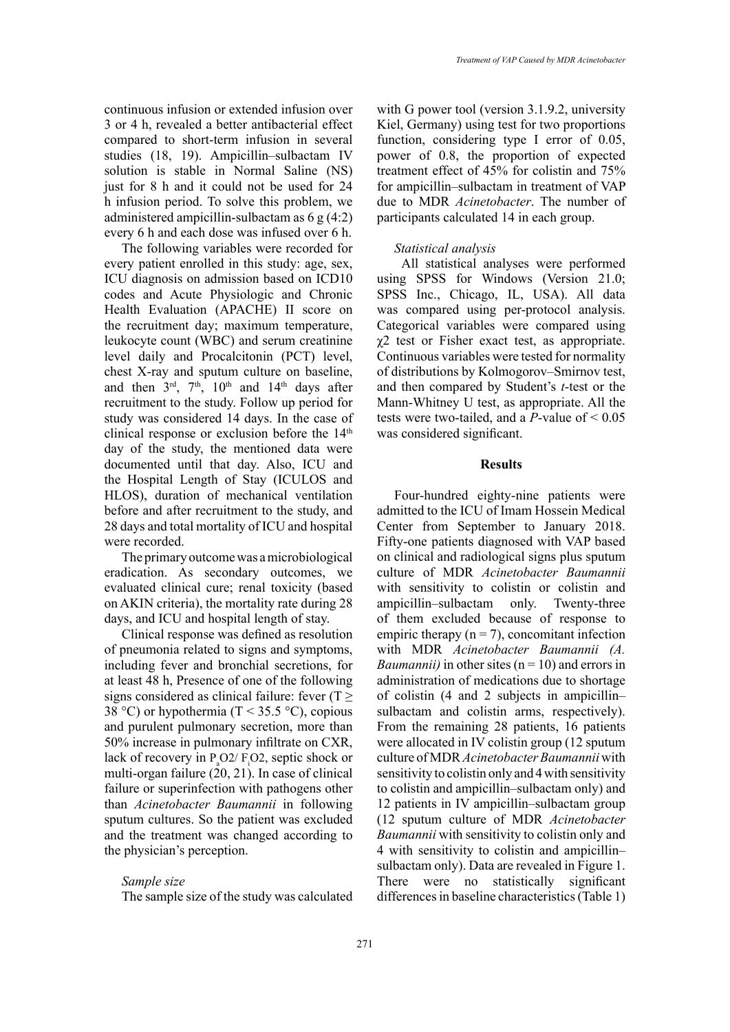continuous infusion or extended infusion over 3 or 4 h, revealed a better antibacterial effect compared to short-term infusion in several studies (18, 19). Ampicillin–sulbactam IV solution is stable in Normal Saline (NS) just for 8 h and it could not be used for 24 h infusion period. To solve this problem, we administered ampicillin-sulbactam as 6 g (4:2) every 6 h and each dose was infused over 6 h.

The following variables were recorded for every patient enrolled in this study: age, sex, ICU diagnosis on admission based on ICD10 codes and Acute Physiologic and Chronic Health Evaluation (APACHE) II score on the recruitment day; maximum temperature, leukocyte count (WBC) and serum creatinine level daily and Procalcitonin (PCT) level, chest X-ray and sputum culture on baseline, and then  $3<sup>rd</sup>$ ,  $7<sup>th</sup>$ ,  $10<sup>th</sup>$  and  $14<sup>th</sup>$  days after recruitment to the study. Follow up period for study was considered 14 days. In the case of clinical response or exclusion before the 14<sup>th</sup> day of the study, the mentioned data were documented until that day. Also, ICU and the Hospital Length of Stay (ICULOS and HLOS), duration of mechanical ventilation before and after recruitment to the study, and 28 days and total mortality of ICU and hospital were recorded.

The primary outcome was a microbiological eradication. As secondary outcomes, we evaluated clinical cure; renal toxicity (based on AKIN criteria), the mortality rate during 28 days, and ICU and hospital length of stay.

Clinical response was defined as resolution of pneumonia related to signs and symptoms, including fever and bronchial secretions, for at least 48 h, Presence of one of the following signs considered as clinical failure: fever ( $T \ge$ 38 °C) or hypothermia (T < 35.5 °C), copious and purulent pulmonary secretion, more than 50% increase in pulmonary infiltrate on CXR, lack of recovery in  $P_{a}O2/F_{i}O2$ , septic shock or multi-organ failure (20, 21). In case of clinical failure or superinfection with pathogens other than *Acinetobacter Baumannii* in following sputum cultures. So the patient was excluded and the treatment was changed according to the physician's perception.

#### *Sample size*

The sample size of the study was calculated

with G power tool (version 3.1.9.2, university Kiel, Germany) using test for two proportions function, considering type I error of 0.05, power of 0.8, the proportion of expected treatment effect of 45% for colistin and 75% for ampicillin–sulbactam in treatment of VAP due to MDR *Acinetobacter*. The number of participants calculated 14 in each group.

# *Statistical analysis*

All statistical analyses were performed using SPSS for Windows (Version 21.0; SPSS Inc., Chicago, IL, USA). All data was compared using per-protocol analysis. Categorical variables were compared using χ2 test or Fisher exact test, as appropriate. Continuous variables were tested for normality of distributions by Kolmogorov–Smirnov test, and then compared by Student's *t*-test or the Mann-Whitney U test, as appropriate. All the tests were two-tailed, and a *P*-value of < 0.05 was considered significant.

#### **Results**

Four-hundred eighty-nine patients were admitted to the ICU of Imam Hossein Medical Center from September to January 2018. Fifty-one patients diagnosed with VAP based on clinical and radiological signs plus sputum culture of MDR *Acinetobacter Baumannii*  with sensitivity to colistin or colistin and ampicillin–sulbactam only. Twenty-three of them excluded because of response to empiric therapy  $(n = 7)$ , concomitant infection with MDR *Acinetobacter Baumannii (A. Baumannii*) in other sites  $(n = 10)$  and errors in administration of medications due to shortage of colistin (4 and 2 subjects in ampicillin– sulbactam and colistin arms, respectively). From the remaining 28 patients, 16 patients were allocated in IV colistin group (12 sputum culture of MDR *Acinetobacter Baumannii* with sensitivity to colistin only and 4 with sensitivity to colistin and ampicillin–sulbactam only) and 12 patients in IV ampicillin–sulbactam group (12 sputum culture of MDR *Acinetobacter Baumannii* with sensitivity to colistin only and 4 with sensitivity to colistin and ampicillin– sulbactam only). Data are revealed in Figure 1. There were no statistically significant differences in baseline characteristics (Table 1)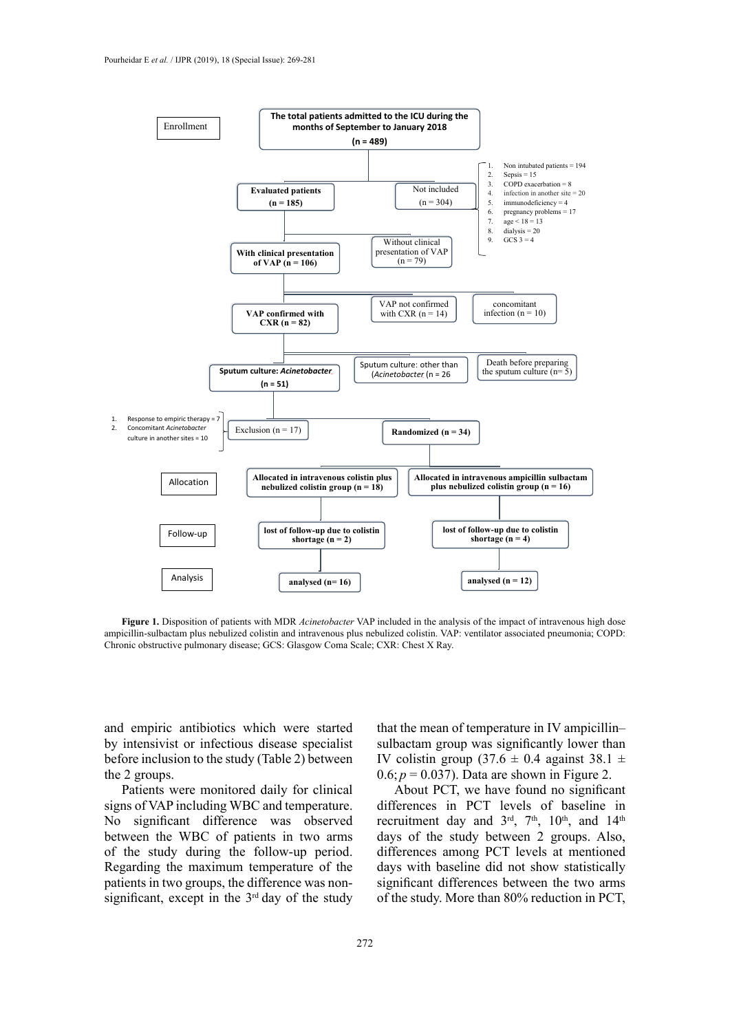

Figure 1. Disposition of patients with MDR Acinetobacter VAP included in the analysis of the impact of intravenous high dose ampicillin-sulbactam plus nebulized colistin and intravenous plus nebulized colistin. VAP: ventilator associated pneumonia; COPD: Chronic obstructive pulmonary disease; GCS: Glasgow Coma Scale; CXR: Chest X Ray.

and empiric antibiotics which were started by intensivist or infectious disease specialist before inclusion to the study (Table 2) between the 2 groups.

Patients were monitored daily for clinical signs of VAP including WBC and temperature. No significant difference was observed between the WBC of patients in two arms of the study during the follow-up period. Regarding the maximum temperature of the patients in two groups, the difference was nonsignificant, except in the  $3<sup>rd</sup>$  day of the study that the mean of temperature in IV ampicillin– sulbactam group was significantly lower than IV colistin group  $(37.6 \pm 0.4)$  against  $38.1 \pm 1$  $0.6; p = 0.037$ ). Data are shown in Figure 2.

About PCT, we have found no significant differences in PCT levels of baseline in recruitment day and  $3<sup>rd</sup>$ ,  $7<sup>th</sup>$ ,  $10<sup>th</sup>$ , and  $14<sup>th</sup>$ days of the study between 2 groups. Also, differences among PCT levels at mentioned days with baseline did not show statistically significant differences between the two arms of the study. More than 80% reduction in PCT,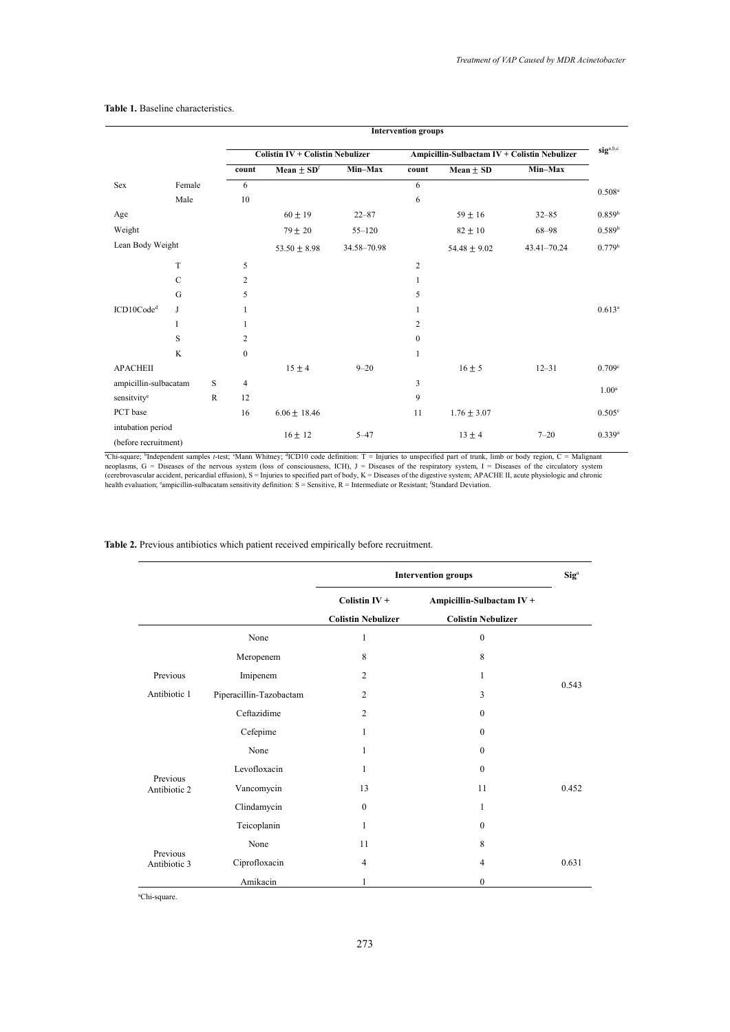|                                           |               |              | <b>Intervention groups</b>              |                            |                                              |                |                  |             |
|-------------------------------------------|---------------|--------------|-----------------------------------------|----------------------------|----------------------------------------------|----------------|------------------|-------------|
|                                           |               |              | <b>Colistin IV + Colistin Nebulizer</b> |                            | Ampicillin-Sulbactam IV + Colistin Nebulizer |                |                  |             |
|                                           |               |              | count                                   | Mean $\pm$ SD <sup>f</sup> | Min-Max                                      | count          | Mean $\pm$ SD    | Min-Max     |
| Sex                                       | Female        |              | 6                                       |                            |                                              | 6              |                  |             |
|                                           | Male          |              | 10                                      |                            |                                              | 6              |                  |             |
| Age                                       |               |              |                                         | $60 \pm 19$                | $22 - 87$                                    |                | $59 \pm 16$      | $32 - 85$   |
| Weight                                    |               |              |                                         | $79 \pm 20$                | $55 - 120$                                   |                | $82 \pm 10$      | 68-98       |
| Lean Body Weight                          |               |              |                                         | $53.50 \pm 8.98$           | 34.58-70.98                                  |                | $54.48 \pm 9.02$ | 43.41-70.24 |
|                                           | T             |              | 5                                       |                            |                                              | 2              |                  |             |
|                                           | $\mathcal{C}$ |              | 2                                       |                            |                                              | 1              |                  |             |
|                                           | G             |              | 5                                       |                            |                                              | 5              |                  |             |
| ICD10Code <sup>d</sup>                    | J             |              | 1                                       |                            |                                              |                |                  |             |
|                                           | I             |              |                                         |                            |                                              | $\overline{2}$ |                  |             |
|                                           | S             |              | 2                                       |                            |                                              | $\theta$       |                  |             |
|                                           | $\mathbf K$   |              | $\mathbf{0}$                            |                            |                                              | $\mathbf{1}$   |                  |             |
| <b>APACHEII</b>                           |               |              |                                         | $15 \pm 4$                 | $9 - 20$                                     |                | $16 \pm 5$       | $12 - 31$   |
| ampicillin-sulbacatam                     |               | S            | $\overline{4}$                          |                            |                                              | 3              |                  |             |
| sensitvity <sup>e</sup>                   |               | $\mathbb{R}$ | 12                                      |                            |                                              | 9              |                  |             |
| PCT base                                  |               |              | 16                                      | $6.06 \pm 18.46$           |                                              | 11             | $1.76 \pm 3.07$  |             |
| intubation period<br>(before recruitment) |               |              |                                         | $16 \pm 12$                | $5 - 47$                                     |                | $13 \pm 4$       | $7 - 20$    |

#### **Table 1.** Baseline characteristics. **Table 1.** Baseline characteristics.

"Chi-square; "Independent samples *t*-test; "Mann Whitney; "ICD10 code definition: T = Injuries to unspecified part of trunk, limb or body region, C = Malignant neoplasms, G = Diseases of the nervous system (loss of consci

**Table 2.** Previous antibiotics which patient received empirically before recruitment. **Table 2.** Previous antibiotics which patient received empirically before recruitment.

|                          |                         | <b>Intervention groups</b>                   | $\text{Sig}^a$                                         |       |
|--------------------------|-------------------------|----------------------------------------------|--------------------------------------------------------|-------|
|                          |                         | Colistin $IV +$<br><b>Colistin Nebulizer</b> | Ampicillin-Sulbactam IV +<br><b>Colistin Nebulizer</b> |       |
|                          | None                    | 1                                            | $\mathbf{0}$                                           |       |
|                          | Meropenem               | 8                                            | 8                                                      |       |
| Previous                 | Imipenem                | $\overline{2}$                               | 1                                                      |       |
| Antibiotic 1             | Piperacillin-Tazobactam | $\overline{2}$                               | 3                                                      | 0.543 |
|                          | Ceftazidime             | $\overline{2}$                               | $\mathbf{0}$                                           |       |
|                          | Cefepime                | 1                                            | $\theta$                                               |       |
|                          | None                    | 1                                            | $\mathbf{0}$                                           |       |
|                          | Levofloxacin            | 1                                            | $\theta$                                               |       |
| Previous<br>Antibiotic 2 | Vancomycin              | 13                                           | 11                                                     | 0.452 |
|                          | Clindamycin             | $\mathbf{0}$                                 | 1                                                      |       |
|                          | Teicoplanin             | 1                                            | $\mathbf{0}$                                           |       |
|                          | None                    | 11                                           | 8                                                      |       |
| Previous<br>Antibiotic 3 | Ciprofloxacin           | $\overline{4}$                               | $\overline{4}$                                         | 0.631 |
|                          | Amikacin                |                                              | $\mathbf{0}$                                           |       |

a Chi-square.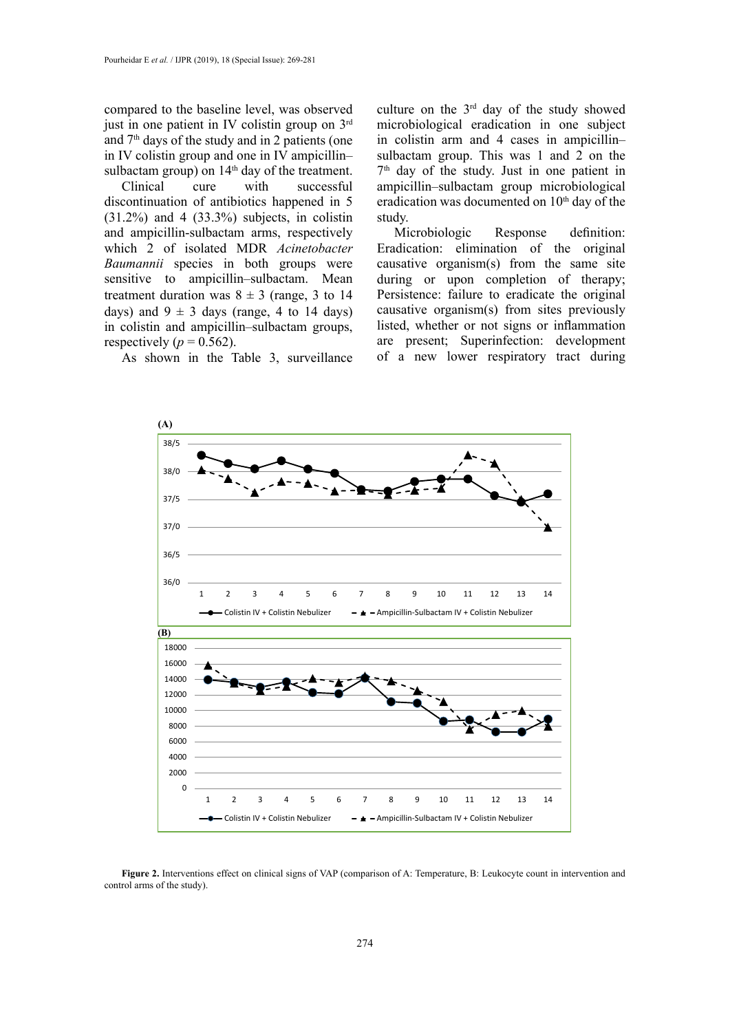compared to the baseline level, was observed just in one patient in IV colistin group on 3rd and  $7<sup>th</sup>$  days of the study and in 2 patients (one in IV colistin group and one in IV ampicillin– sulbactam group) on  $14<sup>th</sup>$  day of the treatment.

Clinical cure with successful discontinuation of antibiotics happened in 5  $(31.2\%)$  and 4  $(33.3\%)$  subjects, in colistin and ampicillin-sulbactam arms, respectively which 2 of isolated MDR *Acinetobacter Baumannii* species in both groups were sensitive to ampicillin–sulbactam. Mean treatment duration was  $8 \pm 3$  (range, 3 to 14) days) and  $9 \pm 3$  days (range, 4 to 14 days) in colistin and ampicillin–sulbactam groups, respectively ( $p = 0.562$ ).

As shown in the Table 3, surveillance

culture on the  $3<sup>rd</sup>$  day of the study showed microbiological eradication in one subject in colistin arm and 4 cases in ampicillin– sulbactam group. This was 1 and 2 on the  $7<sup>th</sup>$  day of the study. Just in one patient in ampicillin–sulbactam group microbiological eradication was documented on  $10<sup>th</sup>$  day of the study.

Microbiologic Response definition: Eradication: elimination of the original causative organism(s) from the same site during or upon completion of therapy; Persistence: failure to eradicate the original causative organism(s) from sites previously listed, whether or not signs or inflammation are present; Superinfection: development of a new lower respiratory tract during



**Figure 2.** Interventions effect on clinical signs of VAP (comparison of A: Temperature, B: Leukocyte count in intervention and control arms of the study).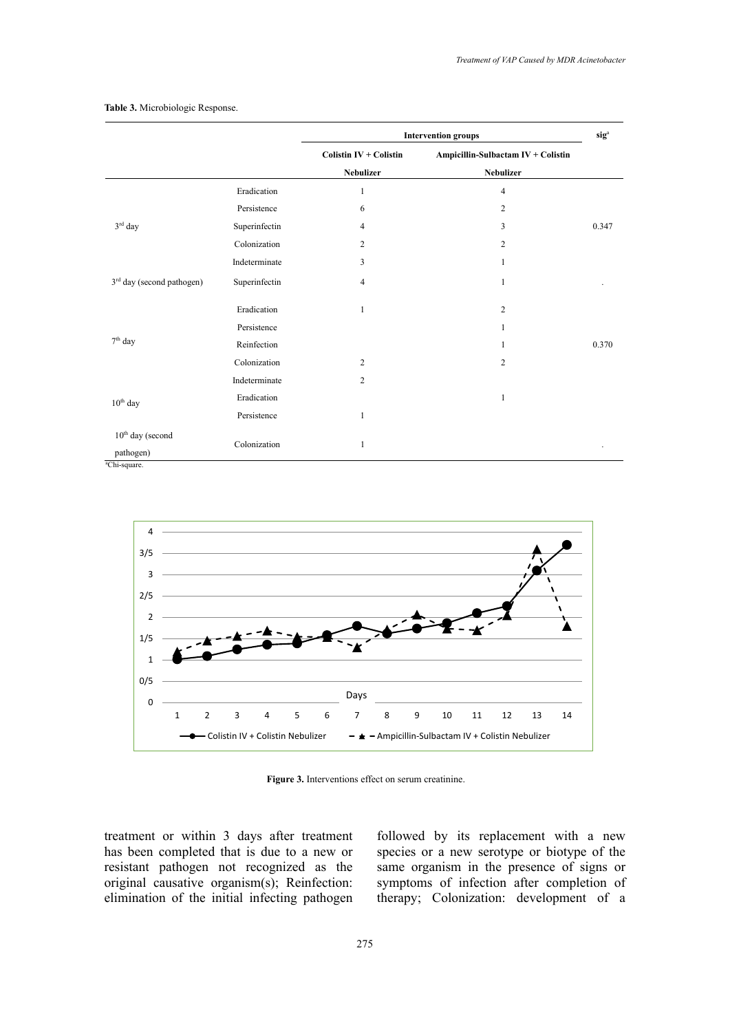|                                       |               | <b>Intervention groups</b>    |                                    | sig <sup>a</sup> |
|---------------------------------------|---------------|-------------------------------|------------------------------------|------------------|
|                                       |               | <b>Colistin IV + Colistin</b> | Ampicillin-Sulbactam IV + Colistin |                  |
|                                       |               | <b>Nebulizer</b>              | <b>Nebulizer</b>                   |                  |
|                                       | Eradication   | $\mathbf{1}$                  | $\overline{4}$                     |                  |
|                                       | Persistence   | 6                             | $\overline{2}$                     |                  |
| $3rd$ day                             | Superinfectin | $\overline{4}$                | 3                                  | 0.347            |
|                                       | Colonization  | $\overline{c}$                | $\overline{2}$                     |                  |
|                                       | Indeterminate | 3                             | 1                                  |                  |
| 3 <sup>rd</sup> day (second pathogen) | Superinfectin | $\overline{4}$                | $\mathbf{1}$                       |                  |
|                                       | Eradication   | $\mathbf{1}$                  | $\overline{c}$                     |                  |
|                                       | Persistence   |                               | 1                                  |                  |
| $7th$ day                             | Reinfection   |                               | 1                                  | 0.370            |
|                                       | Colonization  | $\overline{c}$                | $\overline{c}$                     |                  |
|                                       | Indeterminate | $\overline{c}$                |                                    |                  |
| $10th$ day                            | Eradication   |                               | 1                                  |                  |
|                                       | Persistence   | $\mathbf{1}$                  |                                    |                  |
| $10th$ day (second                    |               |                               |                                    |                  |
| pathogen)<br><sup>a</sup> Chi-square. | Colonization  | 1                             |                                    |                  |

#### **Table 3.** Microbiologic Response.



**Figure 3.** Interventions effect on serum creatinine. **Figure 3.** Interventions effect on serum creatinine.

treatment or within 3 days after treatment has been completed that is due to a new or resistant pathogen not recognized as the original causative organism(s); Reinfection: elimination of the initial infecting pathogen

followed by its replacement with a new species or a new serotype or biotype of the same organism in the presence of signs or symptoms of infection after completion of therapy; Colonization: development of a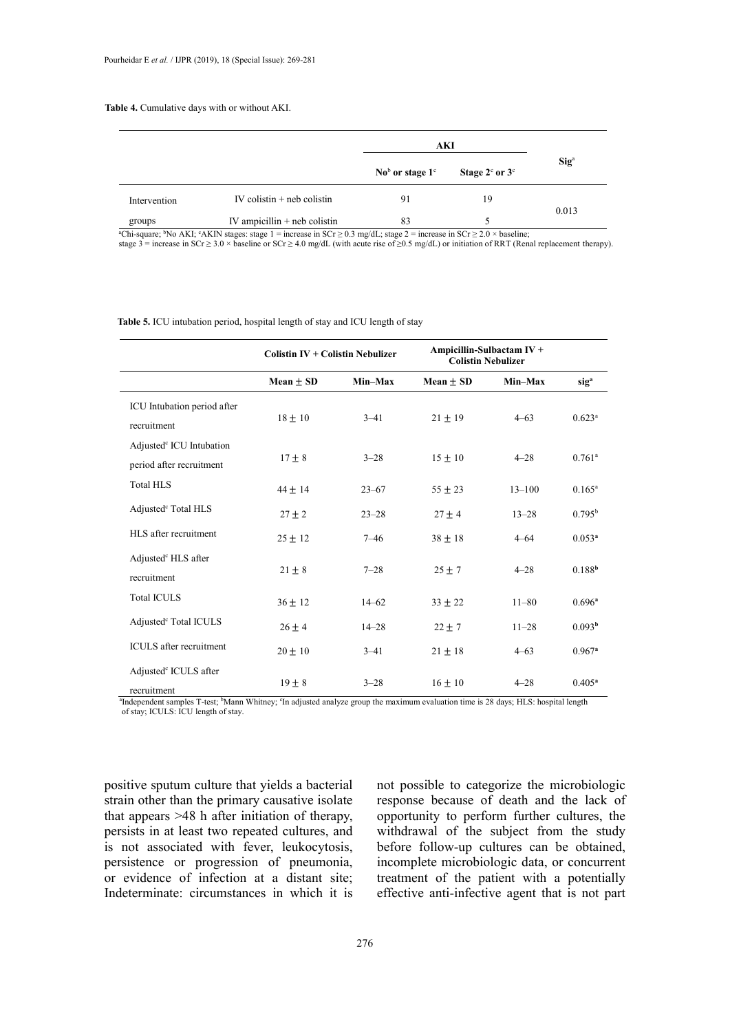# **Table 4.** Cumulative days with or without AKI. **Table 4.** Cumulative days with or without AKI.

|              |                                | AKI                                                  |                                  |                         |  |
|--------------|--------------------------------|------------------------------------------------------|----------------------------------|-------------------------|--|
|              |                                | $\mathrm{No}^{\mathrm{b}}$ or stage $1^{\mathrm{c}}$ | Stage $2^{\circ}$ or $3^{\circ}$ | $\text{Sig}^{\text{a}}$ |  |
| Intervention | IV colistin $+$ neb colistin   | 91                                                   | 19                               | 0.013                   |  |
| groups       | IV ampicillin $+$ neb colistin | 83                                                   |                                  |                         |  |

stage 3 = increase in SCr ≥ 3.0 × baseline or SCr ≥ 4.0 mg/dL (with acute rise of ≥0.5 mg/dL) or initiation of RRT (Renal replacement therapy).

**Table 5.** ICU intubation period, hospital length of stay and ICU length of stay

|                                                                  | <b>Colistin IV + Colistin Nebulizer</b> |           | Ampicillin-Sulbactam IV +<br><b>Colistin Nebulizer</b> |            |                      |
|------------------------------------------------------------------|-----------------------------------------|-----------|--------------------------------------------------------|------------|----------------------|
|                                                                  | Mean $\pm$ SD                           | Min-Max   | Mean $\pm$ SD                                          | Min-Max    | sig <sup>a</sup>     |
| ICU Intubation period after<br>recruitment                       | $18 \pm 10$                             | $3 - 41$  | $21 \pm 19$                                            | $4 - 63$   | $0.623$ <sup>a</sup> |
| Adjusted <sup>c</sup> ICU Intubation<br>period after recruitment | $17 \pm 8$                              | $3 - 28$  | $15 \pm 10$                                            | $4 - 28$   | $0.761$ <sup>a</sup> |
| <b>Total HLS</b>                                                 | $44 \pm 14$                             | $23 - 67$ | $55 \pm 23$                                            | $13 - 100$ | $0.165^{\rm a}$      |
| Adjusted <sup>c</sup> Total HLS                                  | $27 \pm 2$                              | $23 - 28$ | $27 \pm 4$                                             | $13 - 28$  | $0.795^{\rm b}$      |
| HLS after recruitment                                            | $25 \pm 12$                             | $7 - 46$  | $38 \pm 18$                                            | $4 - 64$   | 0.053 <sup>a</sup>   |
| Adjusted <sup>e</sup> HLS after<br>recruitment                   | $21 \pm 8$                              | $7 - 28$  | $25 + 7$                                               | $4 - 28$   | 0.188 <sup>b</sup>   |
| <b>Total ICULS</b>                                               | $36 \pm 12$                             | $14 - 62$ | $33 + 22$                                              | $11 - 80$  | $0.696^a$            |
| Adjusted <sup>c</sup> Total ICULS                                | $26 \pm 4$                              | $14 - 28$ | $22 \pm 7$                                             | $11 - 28$  | 0.093 <sup>b</sup>   |
| <b>ICULS</b> after recruitment                                   | $20 \pm 10$                             | $3 - 41$  | $21 \pm 18$                                            | $4 - 63$   | $0.967$ <sup>a</sup> |
| Adjusted <sup>c</sup> ICULS after<br>recruitment                 | $19 \pm 8$                              | $3 - 28$  | $16 \pm 10$                                            | $4 - 28$   | $0.405^a$            |

<sup>a</sup>Independent samples T-test; <sup>b</sup>Mann Whitney; <sup>c</sup>In adjusted analyze group the maximum evaluation time is 28 days; HLS: hospital length of stay; ICULS: ICU length of stay.

positive sputum culture that yields a bacterial strain other than the primary causative isolate that appears >48 h after initiation of therapy, persists in at least two repeated cultures, and is not associated with fever, leukocytosis, persistence or progression of pneumonia, or evidence of infection at a distant site; Indeterminate: circumstances in which it is

not possible to categorize the microbiologic response because of death and the lack of opportunity to perform further cultures, the withdrawal of the subject from the study before follow-up cultures can be obtained, incomplete microbiologic data, or concurrent treatment of the patient with a potentially effective anti-infective agent that is not part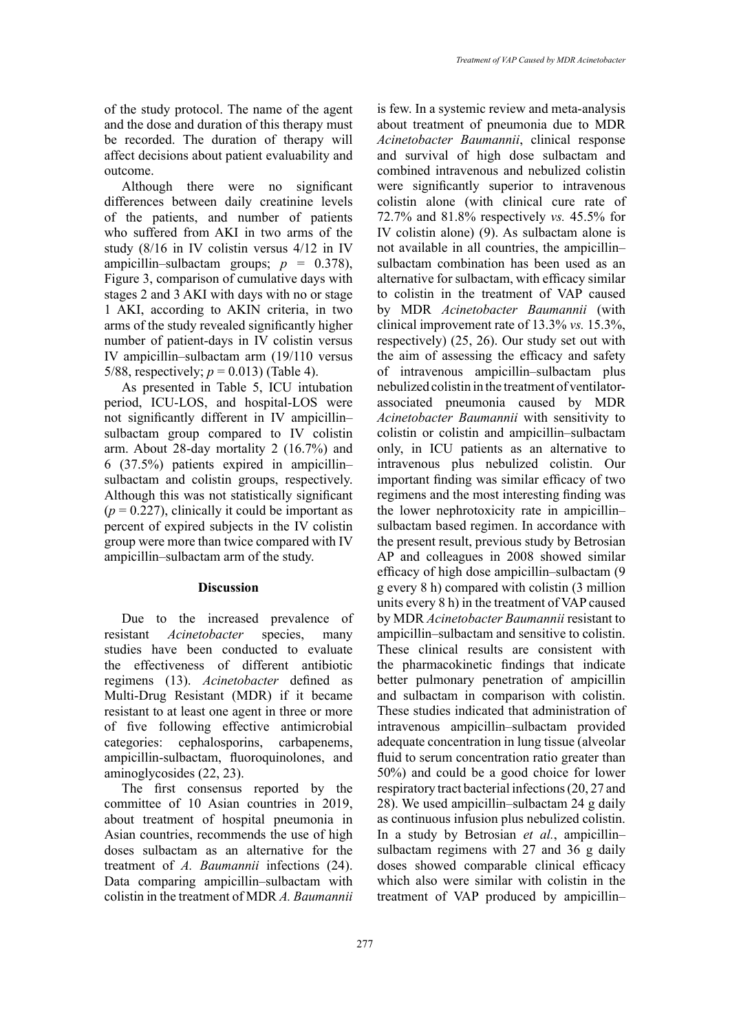of the study protocol. The name of the agent and the dose and duration of this therapy must be recorded. The duration of therapy will affect decisions about patient evaluability and outcome.

Although there were no significant differences between daily creatinine levels of the patients, and number of patients who suffered from AKI in two arms of the study (8/16 in IV colistin versus 4/12 in IV ampicillin–sulbactam groups;  $p = 0.378$ ), Figure 3, comparison of cumulative days with stages 2 and 3 AKI with days with no or stage 1 AKI, according to AKIN criteria, in two arms of the study revealed significantly higher number of patient-days in IV colistin versus IV ampicillin–sulbactam arm (19/110 versus 5/88, respectively;  $p = 0.013$ ) (Table 4).

As presented in Table 5, ICU intubation period, ICU-LOS, and hospital-LOS were not significantly different in IV ampicillin– sulbactam group compared to IV colistin arm. About 28-day mortality 2 (16.7%) and 6 (37.5%) patients expired in ampicillin– sulbactam and colistin groups, respectively. Although this was not statistically significant  $(p = 0.227)$ , clinically it could be important as percent of expired subjects in the IV colistin group were more than twice compared with IV ampicillin–sulbactam arm of the study.

#### **Discussion**

Due to the increased prevalence of resistant *Acinetobacter* species, many studies have been conducted to evaluate the effectiveness of different antibiotic regimens (13). *Acinetobacter* defined as Multi-Drug Resistant (MDR) if it became resistant to at least one agent in three or more of five following effective antimicrobial categories: cephalosporins, carbapenems, ampicillin-sulbactam, fluoroquinolones, and aminoglycosides (22, 23).

The first consensus reported by the committee of 10 Asian countries in 2019, about treatment of hospital pneumonia in Asian countries, recommends the use of high doses sulbactam as an alternative for the treatment of *A. Baumannii* infections (24). Data comparing ampicillin–sulbactam with colistin in the treatment of MDR *A. Baumannii*

is few. In a systemic review and meta-analysis about treatment of pneumonia due to MDR *Acinetobacter Baumannii*, clinical response and survival of high dose sulbactam and combined intravenous and nebulized colistin were significantly superior to intravenous colistin alone (with clinical cure rate of 72.7% and 81.8% respectively *vs.* 45.5% for IV colistin alone) (9). As sulbactam alone is not available in all countries, the ampicillin– sulbactam combination has been used as an alternative for sulbactam, with efficacy similar to colistin in the treatment of VAP caused by MDR *Acinetobacter Baumannii* (with clinical improvement rate of 13.3% *vs.* 15.3%, respectively) (25, 26). Our study set out with the aim of assessing the efficacy and safety of intravenous ampicillin–sulbactam plus nebulized colistin in the treatment of ventilatorassociated pneumonia caused by MDR *Acinetobacter Baumannii* with sensitivity to colistin or colistin and ampicillin–sulbactam only, in ICU patients as an alternative to intravenous plus nebulized colistin. Our important finding was similar efficacy of two regimens and the most interesting finding was the lower nephrotoxicity rate in ampicillin– sulbactam based regimen. In accordance with the present result, previous study by Betrosian AP and colleagues in 2008 showed similar efficacy of high dose ampicillin–sulbactam (9 g every 8 h) compared with colistin (3 million units every 8 h) in the treatment of VAP caused by MDR *Acinetobacter Baumannii* resistant to ampicillin–sulbactam and sensitive to colistin. These clinical results are consistent with the pharmacokinetic findings that indicate better pulmonary penetration of ampicillin and sulbactam in comparison with colistin. These studies indicated that administration of intravenous ampicillin–sulbactam provided adequate concentration in lung tissue (alveolar fluid to serum concentration ratio greater than 50%) and could be a good choice for lower respiratory tract bacterial infections (20, 27 and 28). We used ampicillin–sulbactam 24 g daily as continuous infusion plus nebulized colistin. In a study by Betrosian *et al.*, ampicillin– sulbactam regimens with 27 and 36 g daily doses showed comparable clinical efficacy which also were similar with colistin in the treatment of VAP produced by ampicillin–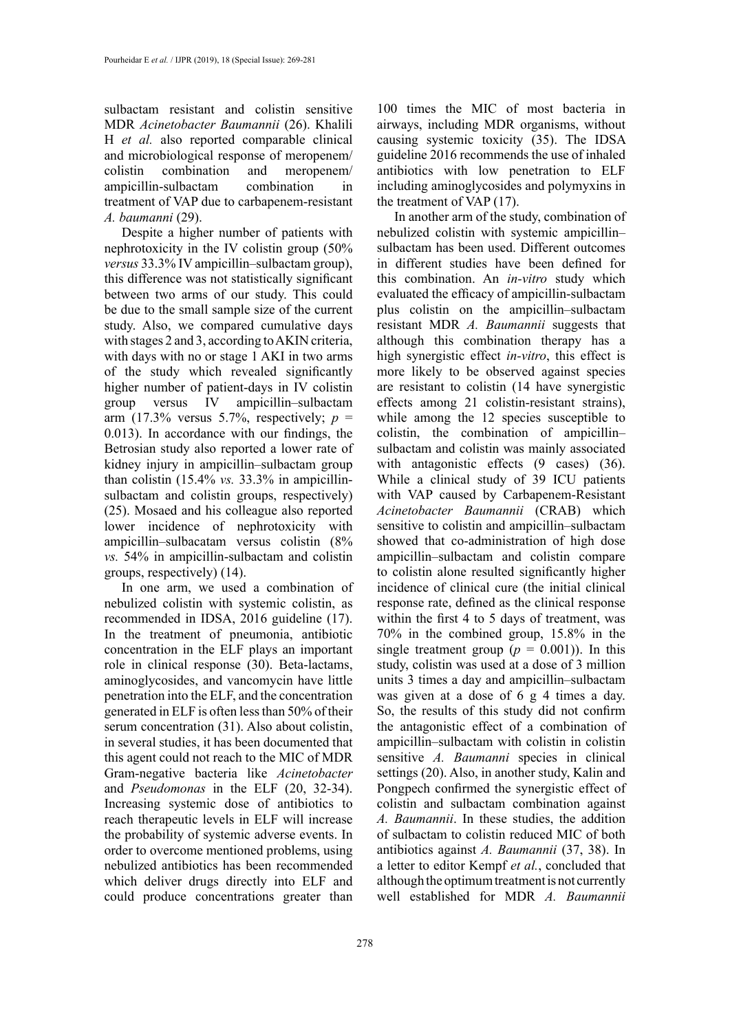sulbactam resistant and colistin sensitive MDR *Acinetobacter Baumannii* (26). Khalili H *et al.* also reported comparable clinical and microbiological response of meropenem/ colistin combination and meropenem/ ampicillin-sulbactam combination in treatment of VAP due to carbapenem-resistant *A. baumanni* (29).

Despite a higher number of patients with nephrotoxicity in the IV colistin group (50% *versus* 33.3% IV ampicillin–sulbactam group), this difference was not statistically significant between two arms of our study. This could be due to the small sample size of the current study. Also, we compared cumulative days with stages 2 and 3, according to AKIN criteria, with days with no or stage 1 AKI in two arms of the study which revealed significantly higher number of patient-days in IV colistin group versus IV ampicillin–sulbactam arm (17.3% versus 5.7%, respectively;  $p =$ 0.013). In accordance with our findings, the Betrosian study also reported a lower rate of kidney injury in ampicillin–sulbactam group than colistin (15.4% *vs.* 33.3% in ampicillinsulbactam and colistin groups, respectively) (25). Mosaed and his colleague also reported lower incidence of nephrotoxicity with ampicillin–sulbacatam versus colistin (8% *vs.* 54% in ampicillin-sulbactam and colistin groups, respectively) (14).

In one arm, we used a combination of nebulized colistin with systemic colistin, as recommended in IDSA, 2016 guideline (17). In the treatment of pneumonia, antibiotic concentration in the ELF plays an important role in clinical response (30). Beta-lactams, aminoglycosides, and vancomycin have little penetration into the ELF, and the concentration generated in ELF is often less than 50% of their serum concentration (31). Also about colistin, in several studies, it has been documented that this agent could not reach to the MIC of MDR Gram-negative bacteria like *Acinetobacter* and *Pseudomonas* in the ELF (20, 32-34). Increasing systemic dose of antibiotics to reach therapeutic levels in ELF will increase the probability of systemic adverse events. In order to overcome mentioned problems, using nebulized antibiotics has been recommended which deliver drugs directly into ELF and could produce concentrations greater than

100 times the MIC of most bacteria in airways, including MDR organisms, without causing systemic toxicity (35). The IDSA guideline 2016 recommends the use of inhaled antibiotics with low penetration to ELF including aminoglycosides and polymyxins in the treatment of VAP (17).

In another arm of the study, combination of nebulized colistin with systemic ampicillin– sulbactam has been used. Different outcomes in different studies have been defined for this combination. An *in-vitro* study which evaluated the efficacy of ampicillin-sulbactam plus colistin on the ampicillin–sulbactam resistant MDR *A. Baumannii* suggests that although this combination therapy has a high synergistic effect *in-vitro*, this effect is more likely to be observed against species are resistant to colistin (14 have synergistic effects among 21 colistin-resistant strains), while among the 12 species susceptible to colistin, the combination of ampicillin– sulbactam and colistin was mainly associated with antagonistic effects (9 cases) (36). While a clinical study of 39 ICU patients with VAP caused by Carbapenem-Resistant *Acinetobacter Baumannii* (CRAB) which sensitive to colistin and ampicillin–sulbactam showed that co-administration of high dose ampicillin–sulbactam and colistin compare to colistin alone resulted significantly higher incidence of clinical cure (the initial clinical response rate, defined as the clinical response within the first 4 to 5 days of treatment, was 70% in the combined group, 15.8% in the single treatment group  $(p = 0.001)$ ). In this study, colistin was used at a dose of 3 million units 3 times a day and ampicillin–sulbactam was given at a dose of 6 g 4 times a day. So, the results of this study did not confirm the antagonistic effect of a combination of ampicillin–sulbactam with colistin in colistin sensitive *A. Baumanni* species in clinical settings (20). Also, in another study, Kalin and Pongpech confirmed the synergistic effect of colistin and sulbactam combination against *A. Baumannii*. In these studies, the addition of sulbactam to colistin reduced MIC of both antibiotics against *A. Baumannii* (37, 38). In a letter to editor Kempf *et al.*, concluded that although the optimum treatment is not currently well established for MDR *A. Baumannii*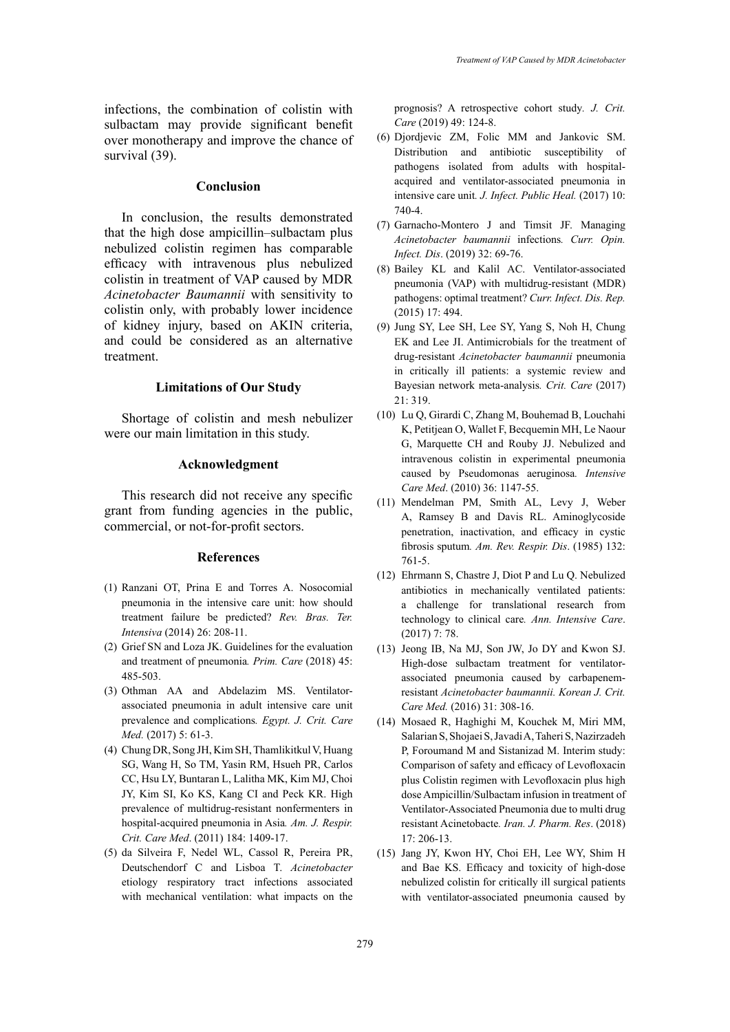infections, the combination of colistin with sulbactam may provide significant benefit over monotherapy and improve the chance of survival (39).

# **Conclusion**

In conclusion, the results demonstrated that the high dose ampicillin–sulbactam plus nebulized colistin regimen has comparable efficacy with intravenous plus nebulized colistin in treatment of VAP caused by MDR *Acinetobacter Baumannii* with sensitivity to colistin only, with probably lower incidence of kidney injury, based on AKIN criteria, and could be considered as an alternative treatment.

### **Limitations of Our Study**

Shortage of colistin and mesh nebulizer were our main limitation in this study.

### **Acknowledgment**

This research did not receive any specific grant from funding agencies in the public, commercial, or not-for-profit sectors.

# **References**

- (1) Ranzani OT, Prina E and Torres A. Nosocomial pneumonia in the intensive care unit: how should treatment failure be predicted? *Rev. Bras. Ter. Intensiva* (2014) 26: 208-11.
- (2) Grief SN and Loza JK. Guidelines for the evaluation and treatment of pneumonia*. Prim. Care* (2018) 45: 485-503.
- (3) Othman AA and Abdelazim MS. Ventilatorassociated pneumonia in adult intensive care unit prevalence and complications*. Egypt. J. Crit. Care Med.* (2017) 5: 61-3.
- (4) Chung DR, Song JH, Kim SH, Thamlikitkul V, Huang SG, Wang H, So TM, Yasin RM, Hsueh PR, Carlos CC, Hsu LY, Buntaran L, Lalitha MK, Kim MJ, Choi JY, Kim SI, Ko KS, Kang CI and Peck KR. High prevalence of multidrug-resistant nonfermenters in hospital-acquired pneumonia in Asia*. Am. J. Respir. Crit. Care Med*. (2011) 184: 1409-17.
- (5) da Silveira F, Nedel WL, Cassol R, Pereira PR, Deutschendorf C and Lisboa T. *Acinetobacter* etiology respiratory tract infections associated with mechanical ventilation: what impacts on the

prognosis? A retrospective cohort study*. J. Crit. Care* (2019) 49: 124-8.

- (6) Djordjevic ZM, Folic MM and Jankovic SM. Distribution and antibiotic susceptibility of pathogens isolated from adults with hospitalacquired and ventilator-associated pneumonia in intensive care unit*. J. Infect. Public Heal.* (2017) 10: 740-4.
- (7) Garnacho-Montero J and Timsit JF. Managing *Acinetobacter baumannii* infections*. Curr. Opin. Infect. Dis*. (2019) 32: 69-76.
- (8) Bailey KL and Kalil AC. Ventilator-associated pneumonia (VAP) with multidrug-resistant (MDR) pathogens: optimal treatment? *Curr. Infect. Dis. Rep.* (2015) 17: 494.
- (9) Jung SY, Lee SH, Lee SY, Yang S, Noh H, Chung EK and Lee JI. Antimicrobials for the treatment of drug-resistant *Acinetobacter baumannii* pneumonia in critically ill patients: a systemic review and Bayesian network meta-analysis*. Crit. Care* (2017) 21: 319.
- (10) Lu Q, Girardi C, Zhang M, Bouhemad B, Louchahi K, Petitjean O, Wallet F, Becquemin MH, Le Naour G, Marquette CH and Rouby JJ. Nebulized and intravenous colistin in experimental pneumonia caused by Pseudomonas aeruginosa*. Intensive Care Med*. (2010) 36: 1147-55.
- (11) Mendelman PM, Smith AL, Levy J, Weber A, Ramsey B and Davis RL. Aminoglycoside penetration, inactivation, and efficacy in cystic fibrosis sputum*. Am. Rev. Respir. Dis*. (1985) 132: 761-5.
- (12) Ehrmann S, Chastre J, Diot P and Lu Q. Nebulized antibiotics in mechanically ventilated patients: a challenge for translational research from technology to clinical care*. Ann. Intensive Care*. (2017) 7: 78.
- (13) Jeong IB, Na MJ, Son JW, Jo DY and Kwon SJ. High-dose sulbactam treatment for ventilatorassociated pneumonia caused by carbapenemresistant *Acinetobacter baumannii. Korean J. Crit. Care Med.* (2016) 31: 308-16.
- (14) Mosaed R, Haghighi M, Kouchek M, Miri MM, Salarian S, Shojaei S, Javadi A, Taheri S, Nazirzadeh P, Foroumand M and Sistanizad M. Interim study: Comparison of safety and efficacy of Levofloxacin plus Colistin regimen with Levofloxacin plus high dose Ampicillin/Sulbactam infusion in treatment of Ventilator-Associated Pneumonia due to multi drug resistant Acinetobacte*. Iran. J. Pharm. Res*. (2018) 17: 206-13.
- (15) Jang JY, Kwon HY, Choi EH, Lee WY, Shim H and Bae KS. Efficacy and toxicity of high-dose nebulized colistin for critically ill surgical patients with ventilator-associated pneumonia caused by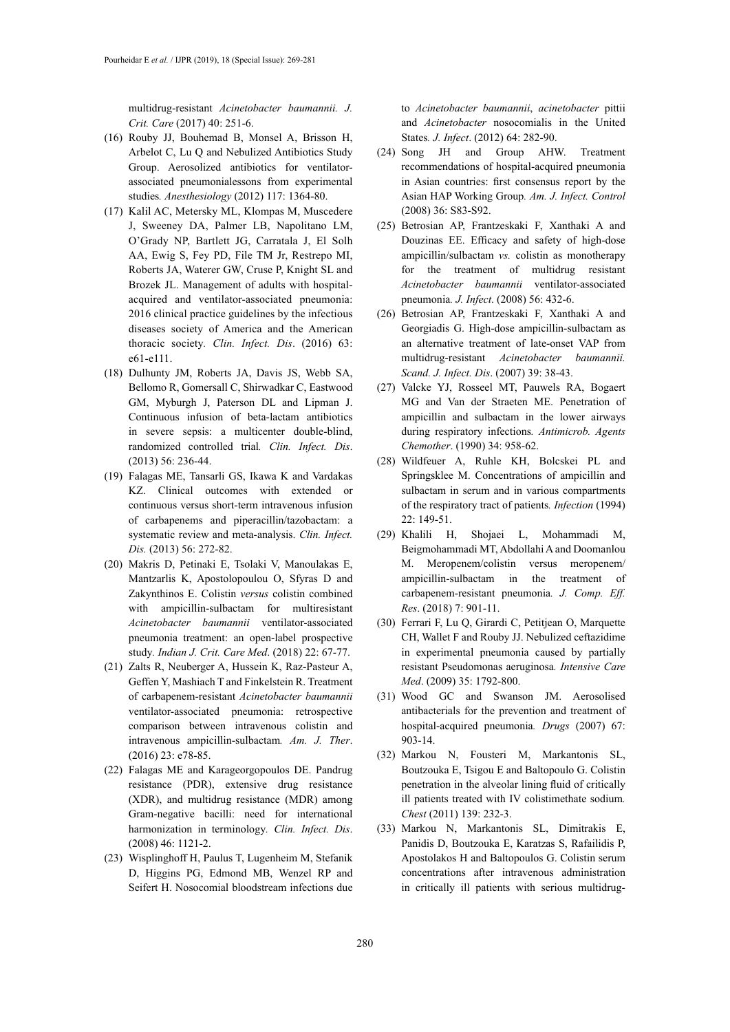multidrug-resistant *Acinetobacter baumannii. J. Crit. Care* (2017) 40: 251-6.

- (16) Rouby JJ, Bouhemad B, Monsel A, Brisson H, Arbelot C, Lu Q and Nebulized Antibiotics Study Group. Aerosolized antibiotics for ventilatorassociated pneumonialessons from experimental studies*. Anesthesiology* (2012) 117: 1364-80.
- (17) Kalil AC, Metersky ML, Klompas M, Muscedere J, Sweeney DA, Palmer LB, Napolitano LM, O'Grady NP, Bartlett JG, Carratala J, El Solh AA, Ewig S, Fey PD, File TM Jr, Restrepo MI, Roberts JA, Waterer GW, Cruse P, Knight SL and Brozek JL. Management of adults with hospitalacquired and ventilator-associated pneumonia: 2016 clinical practice guidelines by the infectious diseases society of America and the American thoracic society*. Clin. Infect. Dis*. (2016) 63: e61-e111.
- (18) Dulhunty JM, Roberts JA, Davis JS, Webb SA, Bellomo R, Gomersall C, Shirwadkar C, Eastwood GM, Myburgh J, Paterson DL and Lipman J. Continuous infusion of beta-lactam antibiotics in severe sepsis: a multicenter double-blind, randomized controlled trial*. Clin. Infect. Dis*. (2013) 56: 236-44.
- (19) Falagas ME, Tansarli GS, Ikawa K and Vardakas KZ. Clinical outcomes with extended or continuous versus short-term intravenous infusion of carbapenems and piperacillin/tazobactam: a systematic review and meta-analysis. *Clin. Infect. Dis.* (2013) 56: 272-82.
- (20) Makris D, Petinaki E, Tsolaki V, Manoulakas E, Mantzarlis K, Apostolopoulou O, Sfyras D and Zakynthinos E. Colistin *versus* colistin combined with ampicillin-sulbactam for multiresistant *Acinetobacter baumannii* ventilator-associated pneumonia treatment: an open-label prospective study*. Indian J. Crit. Care Med*. (2018) 22: 67-77.
- (21) Zalts R, Neuberger A, Hussein K, Raz-Pasteur A, Geffen Y, Mashiach T and Finkelstein R. Treatment of carbapenem-resistant *Acinetobacter baumannii* ventilator-associated pneumonia: retrospective comparison between intravenous colistin and intravenous ampicillin-sulbactam*. Am. J. Ther*. (2016) 23: e78-85.
- (22) Falagas ME and Karageorgopoulos DE. Pandrug resistance (PDR), extensive drug resistance (XDR), and multidrug resistance (MDR) among Gram-negative bacilli: need for international harmonization in terminology*. Clin. Infect. Dis*. (2008) 46: 1121-2.
- (23) Wisplinghoff H, Paulus T, Lugenheim M, Stefanik D, Higgins PG, Edmond MB, Wenzel RP and Seifert H. Nosocomial bloodstream infections due

to *Acinetobacter baumannii*, *acinetobacter* pittii and *Acinetobacter* nosocomialis in the United States*. J. Infect*. (2012) 64: 282-90.

- (24) Song JH and Group AHW. Treatment recommendations of hospital-acquired pneumonia in Asian countries: first consensus report by the Asian HAP Working Group*. Am. J. Infect. Control*  (2008) 36: S83-S92.
- (25) Betrosian AP, Frantzeskaki F, Xanthaki A and Douzinas EE. Efficacy and safety of high-dose ampicillin/sulbactam *vs.* colistin as monotherapy for the treatment of multidrug resistant *Acinetobacter baumannii* ventilator-associated pneumonia*. J. Infect*. (2008) 56: 432-6.
- (26) Betrosian AP, Frantzeskaki F, Xanthaki A and Georgiadis G. High-dose ampicillin-sulbactam as an alternative treatment of late-onset VAP from multidrug-resistant *Acinetobacter baumannii. Scand. J. Infect. Dis*. (2007) 39: 38-43.
- (27) Valcke YJ, Rosseel MT, Pauwels RA, Bogaert MG and Van der Straeten ME. Penetration of ampicillin and sulbactam in the lower airways during respiratory infections*. Antimicrob. Agents Chemother*. (1990) 34: 958-62.
- (28) Wildfeuer A, Ruhle KH, Bolcskei PL and Springsklee M. Concentrations of ampicillin and sulbactam in serum and in various compartments of the respiratory tract of patients*. Infection* (1994) 22: 149-51.
- (29) Khalili H, Shojaei L, Mohammadi M, Beigmohammadi MT, Abdollahi A and Doomanlou M. Meropenem/colistin versus meropenem/ ampicillin-sulbactam in the treatment of carbapenem-resistant pneumonia*. J. Comp. Eff. Res*. (2018) 7: 901-11.
- (30) Ferrari F, Lu Q, Girardi C, Petitjean O, Marquette CH, Wallet F and Rouby JJ. Nebulized ceftazidime in experimental pneumonia caused by partially resistant Pseudomonas aeruginosa*. Intensive Care Med*. (2009) 35: 1792-800.
- (31) Wood GC and Swanson JM. Aerosolised antibacterials for the prevention and treatment of hospital-acquired pneumonia*. Drugs* (2007) 67: 903-14.
- (32) Markou N, Fousteri M, Markantonis SL, Boutzouka E, Tsigou E and Baltopoulo G. Colistin penetration in the alveolar lining fluid of critically ill patients treated with IV colistimethate sodium*. Chest* (2011) 139: 232-3.
- (33) Markou N, Markantonis SL, Dimitrakis E, Panidis D, Boutzouka E, Karatzas S, Rafailidis P, Apostolakos H and Baltopoulos G. Colistin serum concentrations after intravenous administration in critically ill patients with serious multidrug-